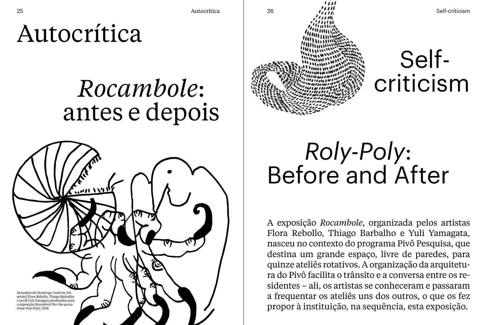Autocrítica

## *Rocambole*: antes e depois





 Selfcriticism

## *Roly-Poly*: Before and After

A exposição *Rocambole*, organizada pelos artistas Flora Rebollo, Thiago Barbalho e Yuli Yamagata, nasceu no contexto do programa Pivô Pesquisa, que destina um grande espaço, livre de paredes, para quinze ateliês rotativos. A organização da arquitetura do Pivô facilita o trânsito e a conversa entre os residentes – ali, os artistas se conheceram e passaram a frequentar os ateliês uns dos outros, o que os fez propor à instituição, na sequência, esta exposição.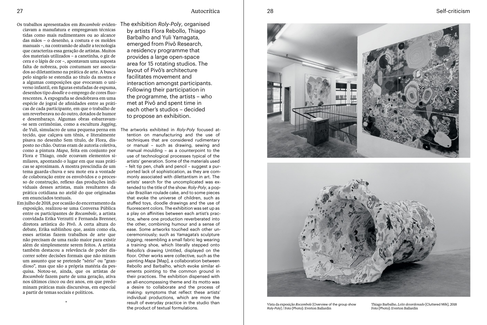Autocrítica Self-criticism

Os trabalhos apresentados em *Rocambole* evidenciavam a manufatura e empregavam técnicas tidas como mais rudimentares ou ao alcance das mãos – o desenho, a costura e os moldes manuais –, na contramão de aludir a tecnologia que caracteriza essa geração de artistas. Muitos dos materiais utilizados – a canetinha, o giz de cera e o lápis de cor –, apontavam uma suposta falta de nobreza, pois costumam ser associados ao diletantismo na prática de arte. A busca pelo singelo se estendia ao título da mostra e a algumas composições que evocavam o universo infantil, em figuras estufadas de espuma, desenhos tipo *doodle* e o emprego de cores fluorescentes. A expografia se desdobrava em uma espécie de jogral de afinidades entre as práticas de cada participante, em que o trabalho de um reverberava no do outro, dotados de humor e desembaraço. Algumas obras esbarravam- -se sem cerimônias, como a escultura *Jogging*, de Yuli, simulacro de uma pequena perna em tecido, que calçava um tênis, e literalmente pisava no desenho Sem título, de Flora, disposto no chão. Outras eram de autoria coletiva, como a pintura *Mapa*, feita em conjunto por Flora e Thiago, onde ecoavam elementos similares, apontando o lugar em que suas práticas se aproximam. A mostra prescindia de um tema guarda-chuva e seu mote era a vontade de colaboração entre os envolvidos e o processo de construção, reflexo das produções individuais desses artistas, mais resultantes da prática cotidiana no ateliê do que originadas em enunciados textuais.

Em julho de 2018, por ocasião do encerramento da exposição, realizou-se uma Conversa Pública entre os participantes de *Rocambole*, a artista convidada Erika Verzutti e Fernanda Brenner, diretora artística do Pivô. A certa altura do debate, Erika sublinhou que, assim como ela, esses artistas fazem trabalhos de arte que não precisam de uma razão maior para existir além de simplesmente serem feitos. A artista também destacou a relevância de poder discorrer sobre decisões formais que não miram um assunto que se pretende "sério" ou "grandioso", mas que são a própria matéria da pesquisa. Notou-se, ainda, que os artistas de *Rocambole* fazem parte de uma geração, ativa nos últimos cinco ou dez anos, em que predominam práticas mais discursivas, em especial a partir de temas sociais e políticos.

\*

The exhibition *Roly-Poly*, organised by artists Flora Rebollo, Thiago Barbalho and Yuli Yamagata, emerged from Pivô Research, a residency programme that provides a large open-space area for 15 rotating studios. The layout of Pivô's architecture facilitates movement and interaction amongst participants. Following their participation in the programme, the artists – who met at Pivô and spent time in each other's studios – decided to propose an exhibition.

The artworks exhibited in *Roly-Poly* focused attention on manufacturing and the use of techniques that are considered rudimentary or manual – such as drawing, sewing and manual moulding – as a counterpoint to the use of technological processes typical of the artists' generation. Some of the materials used – felt tip pen, chalk and pencil – suggest a purported lack of sophistication, as they are commonly associated with dilettantism in art. The artists' search for the uncomplicated was extended to the title of the show: *Roly-Poly*, a popular Brazilian roulade cake, and to some pieces that evoke the universe of children, such as stuffed toys, doodle drawings and the use of fluorescent colors. The exhibition was set up as a play on affinities between each artist's practice, where one production reverberated into the other, combining humour and a sense of ease. Some artworks touched each other unceremoniously; such as Yamagata's sculpture *Jogging*, resembling a small fabric leg wearing a training shoe, which literally stepped onto Rebollo's drawing Untitled, displayed on the floor. Other works were collective, such as the painting *Mapa* [Map], a collaboration between Rebollo and Barbalho, which evoke similar elements pointing to the common ground in their practices. The exhibition dispensed with an all-encompassing theme and its motto was a desire to collaborate and the process of making: symptoms that reflect these artists' individual productions, which are more the result of everyday practice in the studio than the product of textual formulations.





Vista da exposição *Rocambole* [Overview of the group show *Roly-Poly*] / Foto [Photo]: Everton Ballardin

Thiago Barbalho, *Leite desordenado* [Cluttered Milk], 2018 Foto [Photo]: Everton Ballardin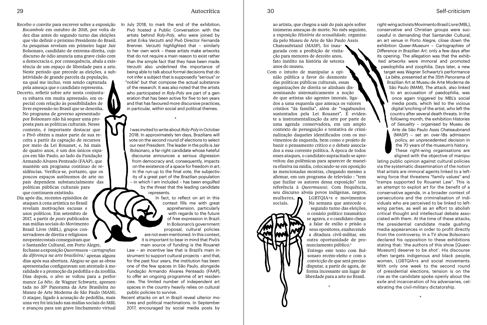Recebo o convite para escrever sobre a exposição *Rocambole* em outubro de 2018, por volta de dez dias antes do segundo turno das eleições que vão definir o próximo Presidente do Brasil. As pesquisas revelam em primeiro lugar Jair Bolsonaro, candidato de extrema-direita, cujo discurso de ódio anuncia uma grave cisão com a democracia e, por consequência, abala a existência de um espaço de liberdade para a arte. Neste período que precede as eleições, a subjetividade de grande parcela da população, na qual me incluo, vem sendo capturada pela ameaça que o candidato representa. Decerto, refletir sobre arte nesta conjuntura esbarra em muita apreensão, em especial com relação às possibilidades de livre expressão no Brasil que se desenha. No programa de governo apresentado por Bolsonaro não há sequer uma proposta para as políticas culturais. Nesse contexto, é importante destacar que o Pivô obtém a maior parte de sua receita a partir da captação de recursos por meio da Lei Rouanet, e, há mais de quatro anos, é um dos únicos espaços em São Paulo, ao lado da Fundação Armando Alvares Penteado (FAAP), que mantém um programa contínuo de residências. Verifica-se, portanto, que os poucos espaços autônomos de arte no país dependem substancialmente das políticas públicas culturais para que continuem existindo.

Dia após dia, recentes episódios de ataques à cena artística no Brasil revelam motivações escusas e usos políticos. Em setembro de 2017, a partir de *posts* publicados nas mídias sociais do Movimento Brasil Livre (MBL), grupos conservadores de direita e religiosos neopentecostais conseguiram que o Santander Cultural, em Porto Alegre,

fechasse a exposição *Queermuseu* – *cartografias da diferença na arte brasileira*, 1 apenas alguns dias após sua abertura. Alegou-se que as obras apresentadas configuravam um atentado à moralidade e a promoção da pedofilia e da zoofilia. Dias depois, o alvo se voltou para a performance *La bête*, de Wagner Schwartz, apresentada no 35º Panorama da Arte Brasileira no Museu de Arte Moderna de São Paulo (MAM). O ataque, ligado à acusação de pedofilia, mais uma vez foi iniciado nas mídias sociais do MBL e avançou para um grave linchamento virtual

In July 2018, to mark the end of the exhibition, Pivô hosted a Public Conversation with the artists behind *Roly-Poly*, who were joined by artist Erika Verzutti and Pivô Director Fernanda Brenner. Verzutti highlighted that – similarly to her own work – these artists make artworks that do not require a main reason to exist rather than the simple fact that they have been made. Verzutti also underlined the importance of being able to talk about formal decisions that do not infer a subject that is supposedly "serious" or "noble" but that compose the actual substance of the research. It was also noted that the artists who participated in *Roly-Poly* are part of a generation that has been active for five to ten years and that has favoured more discursive practices, in particular, within social and political themes.

I was invited to write about *Roly-Poly* in October 2018. In approximately ten days, Brazilians will vote on the second round of elections to select our next President. The leader in the polls is Jair Bolsonaro, a far-right candidate whose hateful discourse announces a serious digression from democracy and, consequently, impacts on the existence of a space for freedom in art. In the run-up to the final vote, the subjectivity of a great part of the Brazilian population – in which I am included – has been engulfed by the threat that the leading candidate represents.

\*

In fact, to reflect on art in this context fills me with great apprehension, particularly with regards to the future of free expression in Brazil. In Bolsonaro's government proposal, cultural policies are not even mentioned. In this context, it is important to bear in mind that Pivô's main source of funding is the Rouanet

Law – an incentive law that is Brazil's main instrument to support cultural projects – and that, for the past four years, the institution has been one of the few spaces in São Paulo, alongside Fundação Armando Alvares Penteado (FAAP), to offer an ongoing programme of art residencies. The limited number of independent art spaces in the country heavily relies on cultural public policies to survive.

Recent attacks on art in Brazil reveal ulterior motives and political machinations. In September 2017, encouraged by social media posts by

ao artista, que chegou a sair do país após sofrer inúmeras ameaças de morte. No mês seguinte, a exposição *História da sexualidade*, organizada pelo Museu de Arte de São Paulo Assis Chateaubriand (MASP), foi inaugurada com a proibição de visitação para menores de dezoito anos, fato inédito na história de setenta anos do museu.

Com o intuito de manipular a opinião pública a favor do desmonte das políticas públicas culturais, essas organizações de direita se alinham disseminando sistematicamente a noção de que artistas são agentes imorais, ligados a uma esquerda que ameaça os valores cristãos "da família", além de "vagabundos sustentados pela Lei Rouanet". É evidente a instrumentalização da arte por parte de uma agenda conservadora, em um amplo contexto de perseguição e tentativa de criminalização daqueles identificados com os movimentos de esquerda, bem como o projeto de banir o pensamento crítico e o debate associados a essa corrente política. À época de todos esses ataques, o candidato supracitado se aproveitou das polêmicas para aparecer de maneira efusiva na mídia, colocando-se em oposição às mencionadas mostras, chegando mesmo a afirmar, em um programa de televisão : "tem que fuzilar os autores dessa exposição" (em referência à *Queermuseu*). Com frequência,

seu discurso alveja povos indígenas, negros,<br>mulheres,  $\bigwedge$  LGBTQIA+s e movimentos LGBTQIA+s e movimentos sociais. Na semana que antecede o segundo turno das eleições, o cenário político traumático se agrava, e o candidato chega a falar de exílio e prisão a seus opositores, enaltecendo a ditadura civil-militar, em outra oportunidade de pronunciamento público.<sup>3</sup>

Entrego este texto com Bolsonaro recém-eleito e com a convicção de que será preciso disputar, a partir de agora, de forma incessante um lugar de liberdade para a arte no Brasil.

\*

right-wing activists Movimento Brasil Livre (MBL),

conservative and Christian groups were successful in demanding that Santander Cultural, an art venue in Porto Alegre, close down the exhibition *Queer-Museum – Cartographies of Difference in Brazilian Art*, only a few days after its opening. The allegation was that the exhibited artworks were immoral and promoted paedophilia and zoophilia. Days later, a new target was Wagner Schwartz's performance *La bête*, presented at the 35th Panorama of Brazilian Art at Museu de Arte Moderna de São Paulo (MAM). The attack, also linked to an accusation of paedophilia, was once again triggered by MBL's social media posts, which led to the vicious digital lynching of the artist, who left the country after several death threats. In the following month, the exhibition *Histories of Sexuality* – organised by Museu de Arte de São Paulo Assis Chateaubriand (MASP) – set an over-18s admission policy, an unprecedented decision in the 70 years of the museum's history. These right-wing organisations are aligned with the objective of manipu-

lating public opinion against cultural policies via the systematic dissemination of the notion that artists are immoral agents linked to a leftwing force that threatens "family values" and "tramps supported by Rouanet Law". This is an attempt to exploit art for the benefit of a conservative agenda, in a broader context of persecutions and the criminalisation of individuals who are perceived to be linked to leftwing parties, as well as an effort to abolish critical thought and intellectual debate associated with them. At the time of these attacks, the presidential candidate made gushing media appearances in order to profit directly from the controversy. In a TV show Bolsonaro declared his opposition to these exhibitions stating that: 'the authors of this show [*Queer-Museum*] deserve to be shot'. His discourse often targets indigenous and black people, women, LGBTQIA+s and social movements. With only one week to the second round of presidential elections, tension is on the rise as the candidate spoke openly about the exile and incarceration of his adversaries, celebrating the civil-military dictatorship.

\*